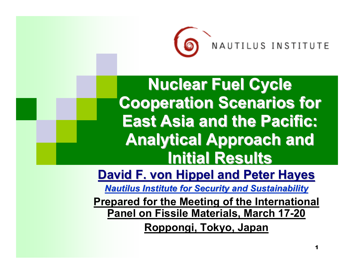

NAUTILUS INSTI

**Nuclear Fuel Cycle Cooperation Scenarios for East Asia and the Pacific: Analytical Approach and Initial Results Initial Results**

**David F. von Hippel and Peter Hayes** 

**Nautilus Institute for Security and Sustainability** 

**Prepared for the Meeting of the International Panel on Fissile Materials, March 17-20**

**Roppongi, Tokyo, Japan**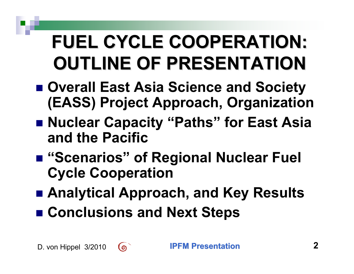# **FUEL CYCLE COOPERATION: FUEL CYCLE COOPERATION: OUTLINE OF PRESENTATION OUTLINE OF PRESENTATION**

- **Overall East Asia Science and Society (EASS) Project Approach, Organization**
- **Nuclear Capacity "Paths" for East Asia and the Pacific**
- "Scenarios" of Regional Nuclear Fuel **Cycle Cooperation**
- **Analytical Approach, and Key Results**
- Conclusions and Next Steps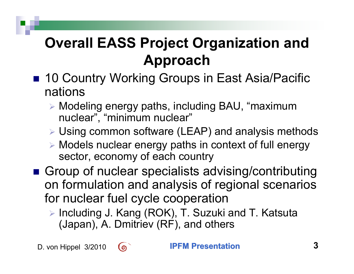### **Overall EASS Project Organization and Approach**

- 10 Country Working Groups in East Asia/Pacific nations
	- ¾ Modeling energy paths, including BAU, "maximum nuclear", "minimum nuclear"
	- ¾ Using common software (LEAP) and analysis methods
	- ¾ Models nuclear energy paths in context of full energy sector, economy of each country
- Group of nuclear specialists advising/contributing on formulation and analysis of regional scenarios for nuclear fuel cycle cooperation
	- ¾ Including J. Kang (ROK), T. Suzuki and T. Katsuta (Japan), A. Dmitriev (RF), and others

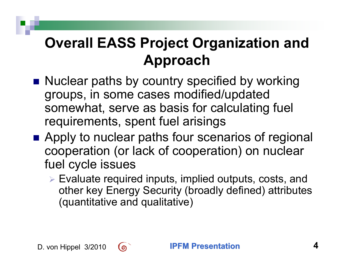#### **Overall EASS Project Organization and Approach**

- Nuclear paths by country specified by working groups, in some cases modified/updated somewhat, serve as basis for calculating fuel requirements, spent fuel arisings
- Apply to nuclear paths four scenarios of regional cooperation (or lack of cooperation) on nuclear fuel cycle issues
	- ¾ Evaluate required inputs, implied outputs, costs, and other key Energy Security (broadly defined) attributes (quantitative and qualitative)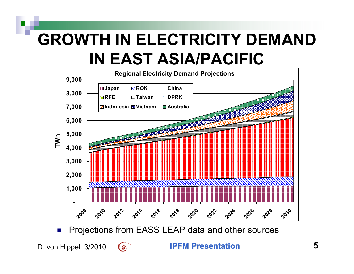# **GROWTH IN ELECTRICITY DEMAND IN EAST ASIA/PACIFIC**

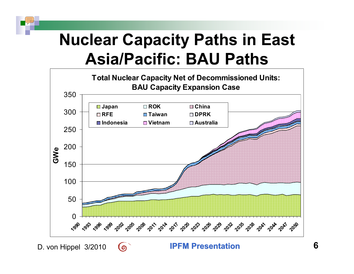## **Nuclear Capacity Paths in East Asia/Pacific: BAU Paths**



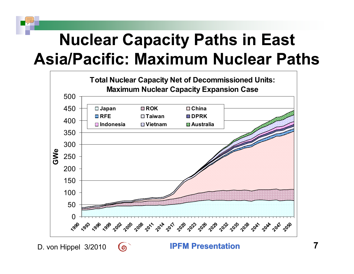# **Nuclear Capacity Paths in East Asia/Pacific: Maximum Nuclear Paths**



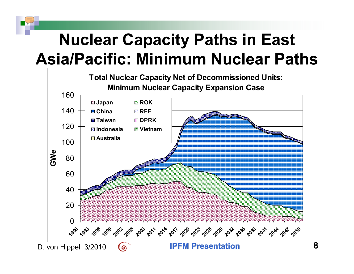# **Nuclear Capacity Paths in East Asia/Pacific: Minimum Nuclear Paths**

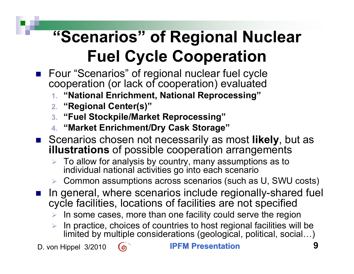- Four "Scenarios" of regional nuclear fuel cycle cooperation (or lack of cooperation) evaluated
	- **1. "National Enrichment, National Reprocessing"**
	- **2. "Regional Center(s)"**
	- **3. "Fuel Stockpile/Market Reprocessing"**
	- **4. "Market Enrichment/Dry Cask Storage"**
- Scenarios chosen not necessarily as most likely, but as **illustrations** of possible cooperation arrangements
	- ¾ To allow for analysis by country, many assumptions as to individual national activities go into each scenario
	- $\triangleright$   $\,$  Common assumptions across scenarios (such as U, SWU costs)
- In general, where scenarios include regionally-shared fuel cycle facilities, locations of facilities are not specified
	- $\triangleright$  In some cases, more than one facility could serve the region
	- ¾ In practice, choices of countries to host regional facilities will be limited by multiple considerations (geological, political, social…)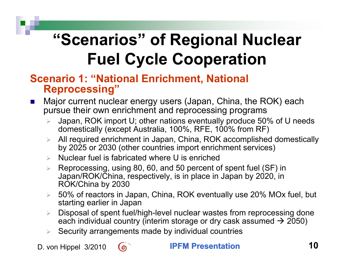#### **Scenario 1: "National Enrichment, National Reprocessing"**

- $\mathcal{L}(\mathcal{A})$  Major current nuclear energy users (Japan, China, the ROK) each pursue their own enrichment and reprocessing programs
	- ¾ Japan, ROK import U; other nations eventually produce 50% of U needs domestically (except Australia, 100%, RFE, 100% from RF)
	- ¾ All required enrichment in Japan, China, ROK accomplished domestically by 2025 or 2030 (other countries import enrichment services)
	- ¾ Nuclear fuel is fabricated where U is enriched
	- ¾ Reprocessing, using 80, 60, and 50 percent of spent fuel (SF) in Japan/ROK/China, respectively, is in place in Japan by 2020, in ROK/China by 2030
	- ¾ 50% of reactors in Japan, China, ROK eventually use 20% MOx fuel, but starting earlier in Japan
	- ¾ Disposal of spent fuel/high-level nuclear wastes from reprocessing done each individual country (interim storage or dry cask assumed  $\rightarrow$  2050)
	- $\triangleright$  Security arrangements made by individual countries

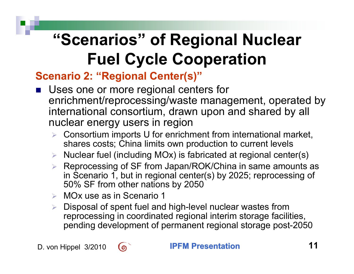#### **Scenario 2: "Regional Center(s)"**

- M. Uses one or more regional centers for enrichment/reprocessing/waste management, operated by international consortium, drawn upon and shared by all nuclear energy users in region
	- $\triangleright$  Consortium imports U for enrichment from international market, shares costs; China limits own production to current levels
	- $\triangleright$  Nuclear fuel (including MOx) is fabricated at regional center(s)
	- ¾ Reprocessing of SF from Japan/ROK/China in same amounts as in Scenario 1, but in regional center(s) by 2025; reprocessing of 50% SF from other nations by 2050
	- ¾ MOx use as in Scenario 1
	- ¾ Disposal of spent fuel and high-level nuclear wastes from reprocessing in coordinated regional interim storage facilities, pending development of permanent regional storage post-2050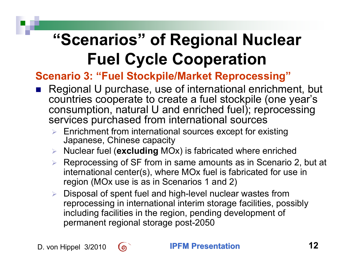#### **Scenario 3: "Fuel Stockpile/Market Reprocessing"**

- M. Regional U purchase, use of international enrichment, but countries cooperate to create a fuel stockpile (one year's consumption, natural U and enriched fuel); reprocessing services purchased from international sources
	- $\triangleright$  Enrichment from international sources except for existing Japanese, Chinese capacity
	- ¾ Nuclear fuel (**excluding** MOx) is fabricated where enriched
	- ¾ Reprocessing of SF from in same amounts as in Scenario 2, but at international center(s), where MOx fuel is fabricated for use in region (MOx use is as in Scenarios 1 and 2)
	- $\triangleright$  Disposal of spent fuel and high-level nuclear wastes from reprocessing in international interim storage facilities, possibly including facilities in the region, pending development of permanent regional storage post-2050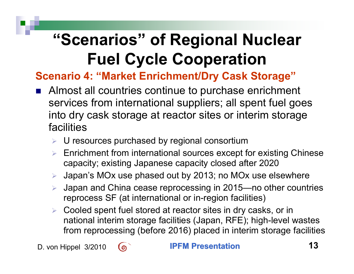#### **Scenario 4: "Market Enrichment/Dry Cask Storage"**

- M. Almost all countries continue to purchase enrichment services from international suppliers; all spent fuel goes into dry cask storage at reactor sites or interim storage facilities
	- $\triangleright$  U resources purchased by regional consortium
	- ¾ Enrichment from international sources except for existing Chinese capacity; existing Japanese capacity closed after 2020
	- ¾ Japan's MOx use phased out by 2013; no MOx use elsewhere
	- ¾ Japan and China cease reprocessing in 2015—no other countries reprocess SF (at international or in-region facilities)
	- ¾ Cooled spent fuel stored at reactor sites in dry casks, or in national interim storage facilities (Japan, RFE); high-level wastes from reprocessing (before 2016) placed in interim storage facilities

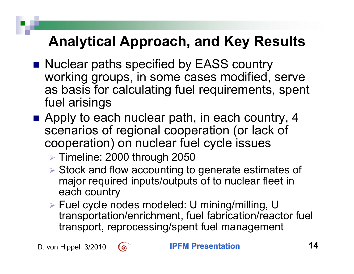- Nuclear paths specified by EASS country working groups, in some cases modified, serve as basis for calculating fuel requirements, spent fuel arisings
- Apply to each nuclear path, in each country, 4 scenarios of regional cooperation (or lack of cooperation) on nuclear fuel cycle issues
	- ¾ Timeline: 2000 through 2050
	- ¾ Stock and flow accounting to generate estimates of major required inputs/outputs of to nuclear fleet in each country
	- ¾ Fuel cycle nodes modeled: U mining/milling, U transportation/enrichment, fuel fabrication/reactor fuel transport, reprocessing/spent fuel management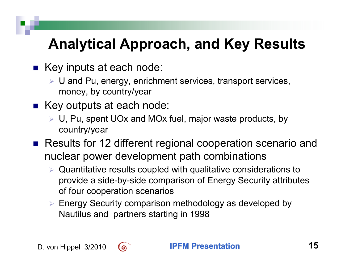- Key inputs at each node:
	- ¾ U and Pu, energy, enrichment services, transport services, money, by country/year
- Key outputs at each node:
	- ¾ U, Pu, spent UOx and MOx fuel, major waste products, by country/year
- Results for 12 different regional cooperation scenario and nuclear power development path combinations
	- $\triangleright$  Quantitative results coupled with qualitative considerations to provide a side-by-side comparison of Energy Security attributes of four cooperation scenarios
	- ¾ Energy Security comparison methodology as developed by Nautilus and partners starting in 1998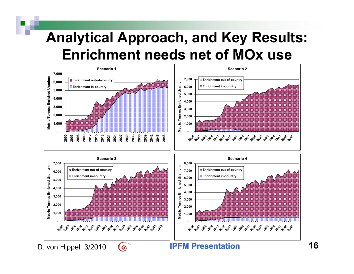#### **Analytical Approach, and Key Results: Enrichment needs net of MOx use**

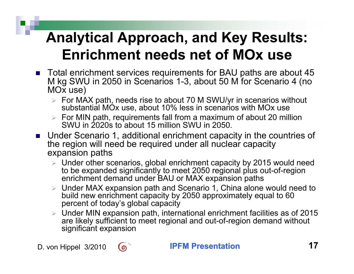#### **Analytical Approach, and Key Results: Enrichment needs net of MOx use**

- Total enrichment services requirements for BAU paths are about 45 M kg SWU in 2050 in Scenarios 1-3, about 50 M for Scenario 4 (no MOx use)
	- $\triangleright$  For MAX path, needs rise to about 70 M SWU/yr in scenarios without substantial MO<sub>x</sub> use, about 10% less in scenarios with MO<sub>x</sub> use
	- $\triangleright$  For MIN path, requirements fall from a maximum of about 20 million SWU in 2020s to about 15 million SWU in 2050.
- Under Scenario 1, additional enrichment capacity in the countries of the region will need be required under all nuclear capacity expansion paths
	- ¾ Under other scenarios, global enrichment capacity by 2015 would need to be expanded significantly to meet 2050 regional plus out-of-region enrichment demand under BAU or MAX expansion paths
	- ¾ Under MAX expansion path and Scenario 1, China alone would need to build new enrichment capacity by 2050 approximately equal to 60 percent of today's global capacity
	- $\triangleright$  Under MIN expansion path, international enrichment facilities as of 2015 are likely sufficient to meet regional and out-of-region demand without significant expansion

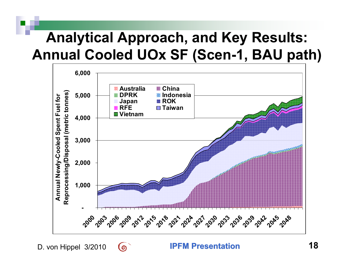#### **Analytical Approach, and Key Results: Annual Cooled UOx SF (Scen-1, BAU path)**



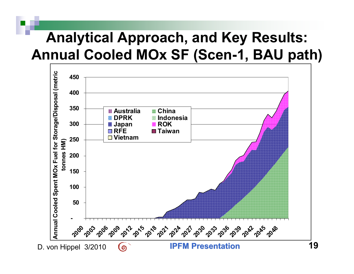#### **Analytical Approach, and Key Results: Annual Cooled MOx SF (Scen-1, BAU path)**

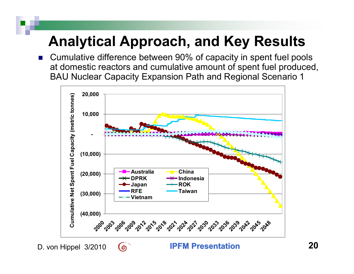■ Cumulative difference between 90% of capacity in spent fuel pools at domestic reactors and cumulative amount of spent fuel produced, BAU Nuclear Capacity Expansion Path and Regional Scenario 1

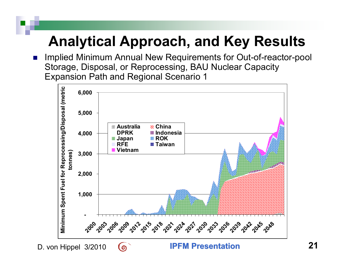$\mathbb{R}^2$  Implied Minimum Annual New Requirements for Out-of-reactor-pool Storage, Disposal, or Reprocessing, BAU Nuclear Capacity Expansion Path and Regional Scenario 1

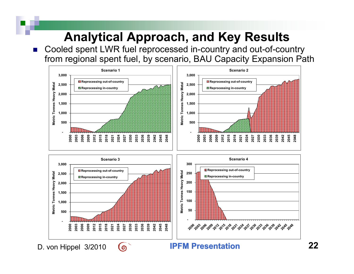$\mathbb{R}^2$  Cooled spent LWR fuel reprocessed in-country and out-of-country from regional spent fuel, by scenario, BAU Capacity Expansion Path

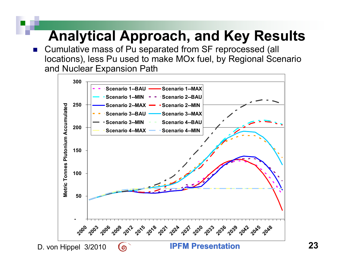$\mathbb{R}^2$  Cumulative mass of Pu separated from SF reprocessed (all locations), less Pu used to make MOx fuel, by Regional Scenario and Nuclear Expansion Path

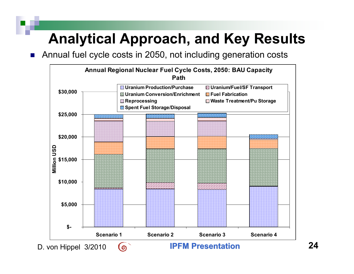$\mathbb{R}^2$ Annual fuel cycle costs in 2050, not including generation costs

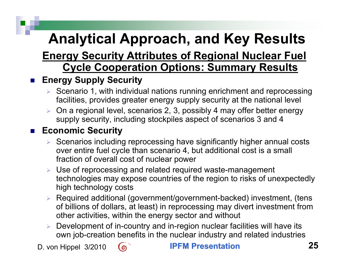#### **Energy Security Attributes of Regional Nuclear Fuel Cycle Cooperation Options: Summary Results**

#### $\mathbb{R}^2$ **Energy Supply Security**

- $\triangleright$  Scenario 1, with individual nations running enrichment and reprocessing facilities, provides greater energy supply security at the national level
- ¾ On a regional level, scenarios 2, 3, possibly 4 may offer better energy supply security, including stockpiles aspect of scenarios 3 and 4

#### $\mathbb{R}^2$ **Economic Security**

- ¾ Scenarios including reprocessing have significantly higher annual costs over entire fuel cycle than scenario 4, but additional cost is a small fraction of overall cost of nuclear power
- ¾ Use of reprocessing and related required waste-management technologies may expose countries of the region to risks of unexpectedly high technology costs
- ¾ Required additional (government/government-backed) investment, (tens of billions of dollars, at least) in reprocessing may divert investment from other activities, within the energy sector and without
- ¾ Development of in-country and in-region nuclear facilities will have its own job-creation benefits in the nuclear industry and related industries

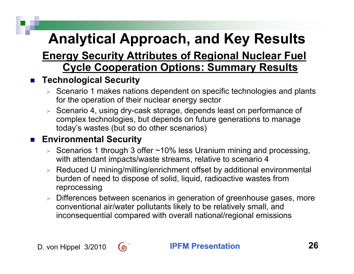#### **Energy Security Attributes of Regional Nuclear Fuel Cycle Cooperation Options: Summary Results**

#### $\mathbb{R}^2$ **Technological Security**

- $\triangleright$  Scenario 1 makes nations dependent on specific technologies and plants for the operation of their nuclear energy sector
- ¾ Scenario 4, using dry-cask storage, depends least on performance of complex technologies, but depends on future generations to manage today's wastes (but so do other scenarios)

#### **■ Environmental Security**

- ¾ Scenarios 1 through 3 offer ~10% less Uranium mining and processing, with attendant impacts/waste streams, relative to scenario 4
- ¾ Reduced U mining/milling/enrichment offset by additional environmental burden of need to dispose of solid, liquid, radioactive wastes from reprocessing
- ¾ Differences between scenarios in generation of greenhouse gases, more conventional air/water pollutants likely to be relatively small, and inconsequential compared with overall national/regional emissions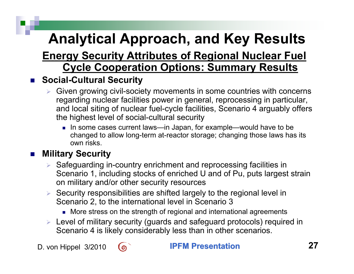#### **Energy Security Attributes of Regional Nuclear Fuel Cycle Cooperation Options: Summary Results**

#### $\mathbb{R}^2$ **Social-Cultural Security**

- ¾ Given growing civil-society movements in some countries with concerns regarding nuclear facilities power in general, reprocessing in particular, and local siting of nuclear fuel-cycle facilities, Scenario 4 arguably offers the highest level of social-cultural security
	- In some cases current laws—in Japan, for example—would have to be changed to allow long-term at-reactor storage; changing those laws has its own risks.

#### $\mathbb{R}^2$ **Military Security**

- ¾ Safeguarding in-country enrichment and reprocessing facilities in Scenario 1, including stocks of enriched U and of Pu, puts largest strain on military and/or other security resources
- $\triangleright$  Security responsibilities are shifted largely to the regional level in Scenario 2, to the international level in Scenario 3
	- More stress on the strength of regional and international agreements
- ¾ Level of military security (guards and safeguard protocols) required in Scenario 4 is likely considerably less than in other scenarios.

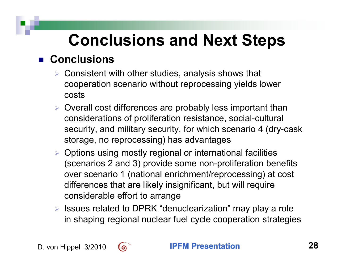## **Conclusions and Next Steps**

#### ■ Conclusions

- $\triangleright$  Consistent with other studies, analysis shows that cooperation scenario without reprocessing yields lower costs
- ¾ Overall cost differences are probably less important than considerations of proliferation resistance, social-cultural security, and military security, for which scenario 4 (dry-cask storage, no reprocessing) has advantages
- $\triangleright$  Options using mostly regional or international facilities (scenarios 2 and 3) provide some non-proliferation benefits over scenario 1 (national enrichment/reprocessing) at cost differences that are likely insignificant, but will require considerable effort to arrange
- ¾ Issues related to DPRK "denuclearization" may play a role in shaping regional nuclear fuel cycle cooperation strategies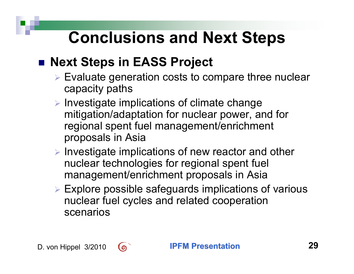## **Conclusions and Next Steps**

#### ■ Next Steps in EASS Project

- ¾ Evaluate generation costs to compare three nuclear capacity paths
- ¾ Investigate implications of climate change mitigation/adaptation for nuclear power, and for regional spent fuel management/enrichment proposals in Asia
- ¾ Investigate implications of new reactor and other nuclear technologies for regional spent fuel management/enrichment proposals in Asia
- ¾ Explore possible safeguards implications of various nuclear fuel cycles and related cooperation scenarios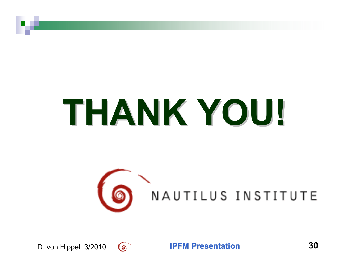# **THANK YOU! THANK YOU!**

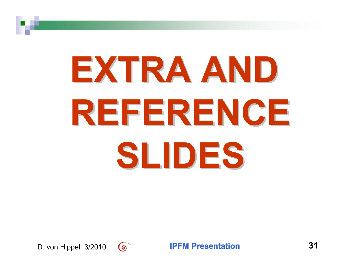# **EXTRA AND EXTRA AND REFERENCE REFERENCE SLIDES**

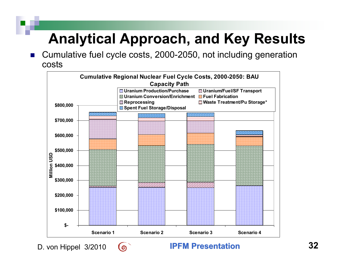$\mathbb{R}^2$  Cumulative fuel cycle costs, 2000-2050, not including generation costs

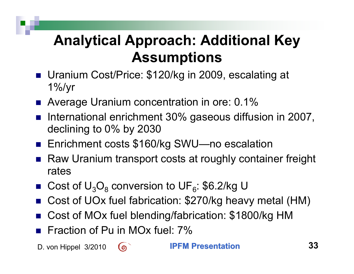#### **Analytical Approach: Additional Key Assumptions**

- **Uranium Cost/Price: \$120/kg in 2009, escalating at** 1%/yr
- Average Uranium concentration in ore: 0.1%
- M. International enrichment 30% gaseous diffusion in 2007, declining to 0% by 2030
- Enrichment costs \$160/kg SWU—no escalation
- M. Raw Uranium transport costs at roughly container freight rates
- Cost of  $U_3O_8$  conversion to UF<sub>6</sub>: \$6.2/kg U
- Cost of UOx fuel fabrication: \$270/kg heavy metal (HM)
- M. Cost of MOx fuel blending/fabrication: \$1800/kg HM
- **Fiaction of Pu in MOx fuel: 7%**